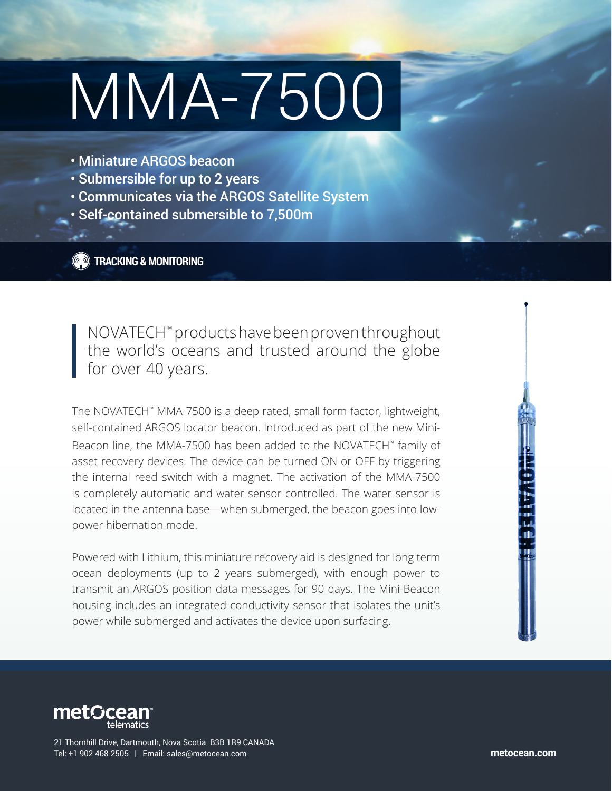## MMA-7500

- Miniature ARGOS beacon
- Submersible for up to 2 years
- Communicates via the ARGOS Satellite System
- Self-contained submersible to 7,500m

**TRACKING & MONITORING**

NOVATECH™ products have been proven throughout the world's oceans and trusted around the globe for over 40 years.

The NOVATECH™ MMA-7500 is a deep rated, small form-factor, lightweight, self-contained ARGOS locator beacon. Introduced as part of the new Mini-Beacon line, the MMA-7500 has been added to the NOVATECH™ family of asset recovery devices. The device can be turned ON or OFF by triggering the internal reed switch with a magnet. The activation of the MMA-7500 is completely automatic and water sensor controlled. The water sensor is located in the antenna base—when submerged, the beacon goes into lowpower hibernation mode.

Powered with Lithium, this miniature recovery aid is designed for long term ocean deployments (up to 2 years submerged), with enough power to transmit an ARGOS position data messages for 90 days. The Mini-Beacon housing includes an integrated conductivity sensor that isolates the unit's power while submerged and activates the device upon surfacing.



21 Thornhill Drive, Dartmouth, Nova Scotia B3B 1R9 CANADA Tel: +1 902 468-2505 | Email: sales@metocean.com **metocean.com**